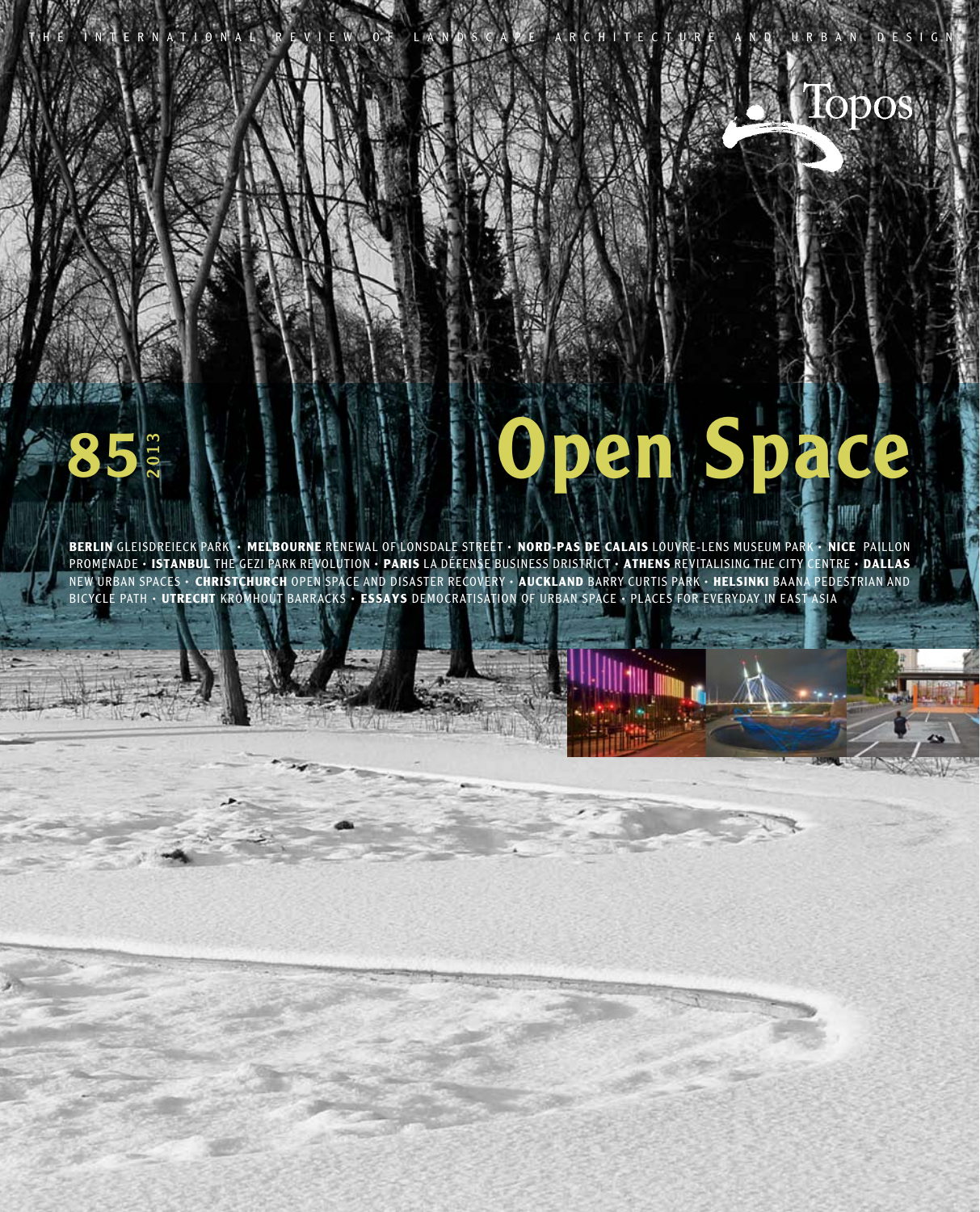## 85 2013

## **en**

 $\mathop{\mathrm{Lops}}\nolimits_{\mathbb{R}}$ 

**Berlin** Gleisdreieck Park **· Melbourne** Renewal of Lonsdale Street **· Nord-Pas de Calais** Louvre-Lens Museum Park **· Nice** Paillon Promenade **· Istanbul** The Gezi Park Revolution **· Paris** L a Défense Business dristrict **· Athens** Revitalising the City Centre **· Dallas**  New Urban Spaces **· Christchurch** Open Space and Disaster Recovery **· Auckland** Barry Curtis Park **· Helsinki** Ba ana Pedestrian and Bicycle Path **· Utrecht** Kromhout Barracks **· Essays** Democratisation of urban space **·** Places for everyday in E ast A sia

E R N A T I O N A L R E V I E W O F L A N D S C A P E A R C H I T E C T U R E A N D U R B A N D E S I G N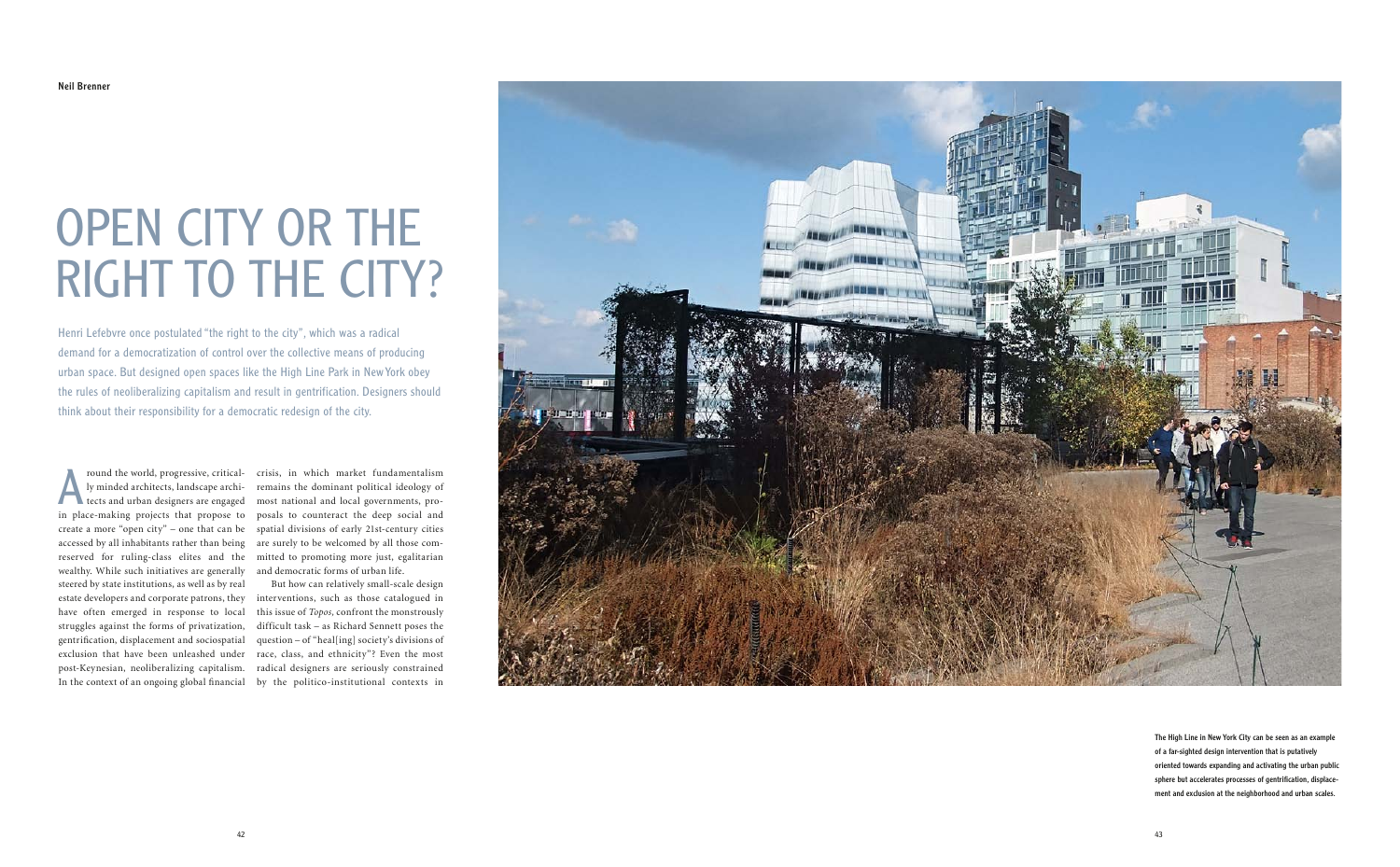The High Line in New York City can be seen as an example of a far-sighted design intervention that is putatively oriented towards expanding and activating the urban public sphere but accelerates processes of gentrification, displace ment and exclusion at the neighborhood and urban scales.

## OPEN CITY OR THE RIGHT TO THE CITY?

Henri Lefebvre once postulated "the right to the city", which was a radical demand for a democratization of control over the collective means of producing urban space. But designed open spaces like the High Line Park in New York obey the rules of neoliberalizing capitalism and result in gentrification. Designers should

think about their responsibility for a democratic redesign of the city.<br>
<br> **A** round the world, progressive, critical-crisis, in which market is<br>
ly minded architects, landscape archi-remains the dominant politicals<br>
the p round the world, progressive, critical ly minded architects, landscape archi tects and urban designers are engaged in place-making projects that propose to create a more "open city" – one that can be spatial divisions of early 21st-century cities accessed by all inhabitants rather than being reserved for ruling-class elites and the wealthy. While such initiatives are generally steered by state institutions, as well as by real estate developers and corporate patrons, they have often emerged in response to local struggles against the forms of privatization, gentrification, displacement and sociospatial exclusion that have been unleashed under post-Keynesian, neoliberalizing capitalism. In the context of an ongoing global financial by the politico-institutional contexts in

crisis, in which market fundamentalism remains the dominant political ideology of most national and local governments, pro posals to counteract the deep social and are surely to be welcomed by all those com mitted to promoting more just, egalitarian and democratic forms of urban life.

But how can relatively small-scale design interventions, such as those catalogued in this issue of *Topos,* confront the monstrously difficult task – as Richard Sennett poses the question – of "heal[ing] society's divisions of race, class, and ethnicity"? Even the most radical designers are seriously constrained